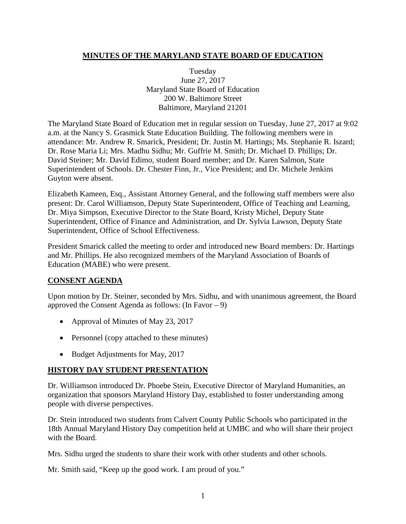### **MINUTES OF THE MARYLAND STATE BOARD OF EDUCATION**

Tuesday June 27, 2017 Maryland State Board of Education 200 W. Baltimore Street Baltimore, Maryland 21201

The Maryland State Board of Education met in regular session on Tuesday, June 27, 2017 at 9:02 a.m. at the Nancy S. Grasmick State Education Building. The following members were in attendance: Mr. Andrew R. Smarick, President; Dr. Justin M. Hartings; Ms. Stephanie R. Iszard; Dr. Rose Maria Li; Mrs. Madhu Sidhu; Mr. Guffrie M. Smith; Dr. Michael D. Phillips; Dr. David Steiner; Mr. David Edimo, student Board member; and Dr. Karen Salmon, State Superintendent of Schools. Dr. Chester Finn, Jr., Vice President; and Dr. Michele Jenkins Guyton were absent.

Elizabeth Kameen, Esq., Assistant Attorney General, and the following staff members were also present: Dr. Carol Williamson, Deputy State Superintendent, Office of Teaching and Learning, Dr. Miya Simpson, Executive Director to the State Board, Kristy Michel, Deputy State Superintendent, Office of Finance and Administration, and Dr. Sylvia Lawson, Deputy State Superintendent, Office of School Effectiveness.

President Smarick called the meeting to order and introduced new Board members: Dr. Hartings and Mr. Phillips. He also recognized members of the Maryland Association of Boards of Education (MABE) who were present.

### **CONSENT AGENDA**

Upon motion by Dr. Steiner, seconded by Mrs. Sidhu, and with unanimous agreement, the Board approved the Consent Agenda as follows: (In Favor – 9)

- Approval of Minutes of May 23, 2017
- Personnel (copy attached to these minutes)
- Budget Adjustments for May, 2017

#### **HISTORY DAY STUDENT PRESENTATION**

Dr. Williamson introduced Dr. Phoebe Stein, Executive Director of Maryland Humanities, an organization that sponsors Maryland History Day, established to foster understanding among people with diverse perspectives.

Dr. Stein introduced two students from Calvert County Public Schools who participated in the 18th Annual Maryland History Day competition held at UMBC and who will share their project with the Board.

Mrs. Sidhu urged the students to share their work with other students and other schools.

Mr. Smith said, "Keep up the good work. I am proud of you."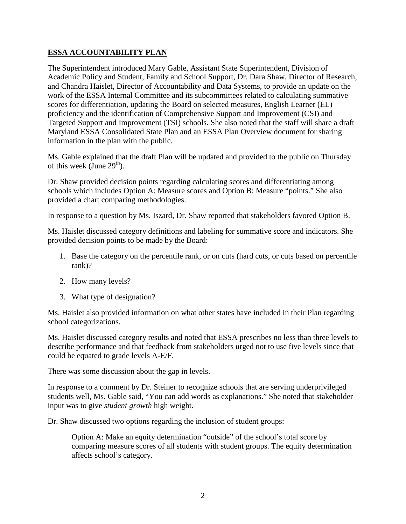### **ESSA ACCOUNTABILITY PLAN**

The Superintendent introduced Mary Gable, Assistant State Superintendent, Division of Academic Policy and Student, Family and School Support, Dr. Dara Shaw, Director of Research, and Chandra Haislet, Director of Accountability and Data Systems, to provide an update on the work of the ESSA Internal Committee and its subcommittees related to calculating summative scores for differentiation, updating the Board on selected measures, English Learner (EL) proficiency and the identification of Comprehensive Support and Improvement (CSI) and Targeted Support and Improvement (TSI) schools. She also noted that the staff will share a draft Maryland ESSA Consolidated State Plan and an ESSA Plan Overview document for sharing information in the plan with the public.

Ms. Gable explained that the draft Plan will be updated and provided to the public on Thursday of this week (June  $29<sup>th</sup>$ ).

Dr. Shaw provided decision points regarding calculating scores and differentiating among schools which includes Option A: Measure scores and Option B: Measure "points." She also provided a chart comparing methodologies.

In response to a question by Ms. Iszard, Dr. Shaw reported that stakeholders favored Option B.

Ms. Haislet discussed category definitions and labeling for summative score and indicators. She provided decision points to be made by the Board:

- 1. Base the category on the percentile rank, or on cuts (hard cuts, or cuts based on percentile rank)?
- 2. How many levels?
- 3. What type of designation?

Ms. Haislet also provided information on what other states have included in their Plan regarding school categorizations.

Ms. Haislet discussed category results and noted that ESSA prescribes no less than three levels to describe performance and that feedback from stakeholders urged not to use five levels since that could be equated to grade levels A-E/F.

There was some discussion about the gap in levels.

In response to a comment by Dr. Steiner to recognize schools that are serving underprivileged students well, Ms. Gable said, "You can add words as explanations." She noted that stakeholder input was to give *student growth* high weight.

Dr. Shaw discussed two options regarding the inclusion of student groups:

Option A: Make an equity determination "outside" of the school's total score by comparing measure scores of all students with student groups. The equity determination affects school's category.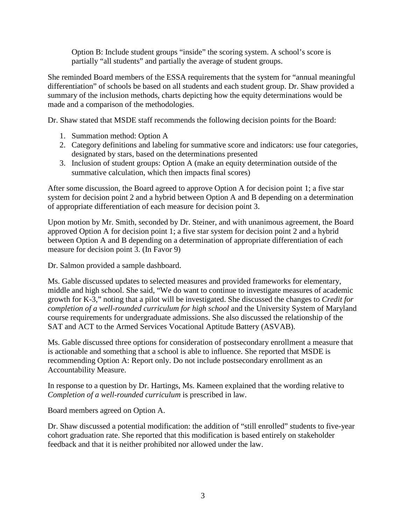Option B: Include student groups "inside" the scoring system. A school's score is partially "all students" and partially the average of student groups.

She reminded Board members of the ESSA requirements that the system for "annual meaningful differentiation" of schools be based on all students and each student group. Dr. Shaw provided a summary of the inclusion methods, charts depicting how the equity determinations would be made and a comparison of the methodologies.

Dr. Shaw stated that MSDE staff recommends the following decision points for the Board:

- 1. Summation method: Option A
- 2. Category definitions and labeling for summative score and indicators: use four categories, designated by stars, based on the determinations presented
- 3. Inclusion of student groups: Option A (make an equity determination outside of the summative calculation, which then impacts final scores)

After some discussion, the Board agreed to approve Option A for decision point 1; a five star system for decision point 2 and a hybrid between Option A and B depending on a determination of appropriate differentiation of each measure for decision point 3.

Upon motion by Mr. Smith, seconded by Dr. Steiner, and with unanimous agreement, the Board approved Option A for decision point 1; a five star system for decision point 2 and a hybrid between Option A and B depending on a determination of appropriate differentiation of each measure for decision point 3. (In Favor 9)

Dr. Salmon provided a sample dashboard.

Ms. Gable discussed updates to selected measures and provided frameworks for elementary, middle and high school. She said, "We do want to continue to investigate measures of academic growth for K-3," noting that a pilot will be investigated. She discussed the changes to *Credit for completion of a well-rounded curriculum for high school* and the University System of Maryland course requirements for undergraduate admissions. She also discussed the relationship of the SAT and ACT to the Armed Services Vocational Aptitude Battery (ASVAB).

Ms. Gable discussed three options for consideration of postsecondary enrollment a measure that is actionable and something that a school is able to influence. She reported that MSDE is recommending Option A: Report only. Do not include postsecondary enrollment as an Accountability Measure.

In response to a question by Dr. Hartings, Ms. Kameen explained that the wording relative to *Completion of a well-rounded curriculum* is prescribed in law.

Board members agreed on Option A.

Dr. Shaw discussed a potential modification: the addition of "still enrolled" students to five-year cohort graduation rate. She reported that this modification is based entirely on stakeholder feedback and that it is neither prohibited nor allowed under the law.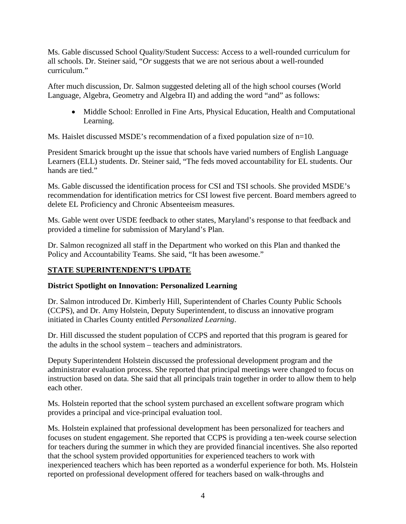Ms. Gable discussed School Quality/Student Success: Access to a well-rounded curriculum for all schools. Dr. Steiner said, "*Or* suggests that we are not serious about a well-rounded curriculum."

After much discussion, Dr. Salmon suggested deleting all of the high school courses (World Language, Algebra, Geometry and Algebra II) and adding the word "and" as follows:

• Middle School: Enrolled in Fine Arts, Physical Education, Health and Computational Learning.

Ms. Haislet discussed MSDE's recommendation of a fixed population size of  $n=10$ .

President Smarick brought up the issue that schools have varied numbers of English Language Learners (ELL) students. Dr. Steiner said, "The feds moved accountability for EL students. Our hands are tied."

Ms. Gable discussed the identification process for CSI and TSI schools. She provided MSDE's recommendation for identification metrics for CSI lowest five percent. Board members agreed to delete EL Proficiency and Chronic Absenteeism measures.

Ms. Gable went over USDE feedback to other states, Maryland's response to that feedback and provided a timeline for submission of Maryland's Plan.

Dr. Salmon recognized all staff in the Department who worked on this Plan and thanked the Policy and Accountability Teams. She said, "It has been awesome."

## **STATE SUPERINTENDENT'S UPDATE**

## **District Spotlight on Innovation: Personalized Learning**

Dr. Salmon introduced Dr. Kimberly Hill, Superintendent of Charles County Public Schools (CCPS), and Dr. Amy Holstein, Deputy Superintendent, to discuss an innovative program initiated in Charles County entitled *Personalized Learning*.

Dr. Hill discussed the student population of CCPS and reported that this program is geared for the adults in the school system – teachers and administrators.

Deputy Superintendent Holstein discussed the professional development program and the administrator evaluation process. She reported that principal meetings were changed to focus on instruction based on data. She said that all principals train together in order to allow them to help each other.

Ms. Holstein reported that the school system purchased an excellent software program which provides a principal and vice-principal evaluation tool.

Ms. Holstein explained that professional development has been personalized for teachers and focuses on student engagement. She reported that CCPS is providing a ten-week course selection for teachers during the summer in which they are provided financial incentives. She also reported that the school system provided opportunities for experienced teachers to work with inexperienced teachers which has been reported as a wonderful experience for both. Ms. Holstein reported on professional development offered for teachers based on walk-throughs and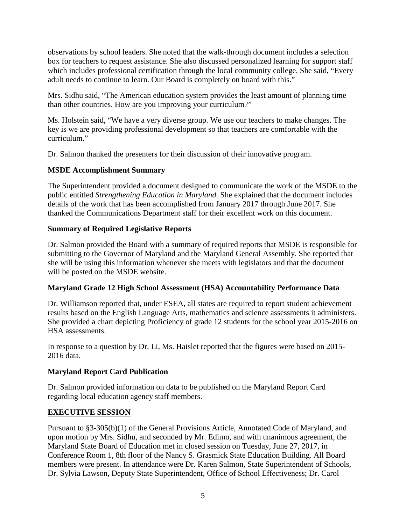observations by school leaders. She noted that the walk-through document includes a selection box for teachers to request assistance. She also discussed personalized learning for support staff which includes professional certification through the local community college. She said, "Every" adult needs to continue to learn. Our Board is completely on board with this."

Mrs. Sidhu said, "The American education system provides the least amount of planning time than other countries. How are you improving your curriculum?"

Ms. Holstein said, "We have a very diverse group. We use our teachers to make changes. The key is we are providing professional development so that teachers are comfortable with the curriculum."

Dr. Salmon thanked the presenters for their discussion of their innovative program.

### **MSDE Accomplishment Summary**

The Superintendent provided a document designed to communicate the work of the MSDE to the public entitled *Strengthening Education in Maryland.* She explained that the document includes details of the work that has been accomplished from January 2017 through June 2017. She thanked the Communications Department staff for their excellent work on this document.

### **Summary of Required Legislative Reports**

Dr. Salmon provided the Board with a summary of required reports that MSDE is responsible for submitting to the Governor of Maryland and the Maryland General Assembly. She reported that she will be using this information whenever she meets with legislators and that the document will be posted on the MSDE website.

### **Maryland Grade 12 High School Assessment (HSA) Accountability Performance Data**

Dr. Williamson reported that, under ESEA, all states are required to report student achievement results based on the English Language Arts, mathematics and science assessments it administers. She provided a chart depicting Proficiency of grade 12 students for the school year 2015-2016 on HSA assessments.

In response to a question by Dr. Li, Ms. Haislet reported that the figures were based on 2015- 2016 data.

## **Maryland Report Card Publication**

Dr. Salmon provided information on data to be published on the Maryland Report Card regarding local education agency staff members.

## **EXECUTIVE SESSION**

Pursuant to §3-305(b)(1) of the General Provisions Article, Annotated Code of Maryland, and upon motion by Mrs. Sidhu, and seconded by Mr. Edimo, and with unanimous agreement, the Maryland State Board of Education met in closed session on Tuesday, June 27, 2017, in Conference Room 1, 8th floor of the Nancy S. Grasmick State Education Building. All Board members were present. In attendance were Dr. Karen Salmon, State Superintendent of Schools, Dr. Sylvia Lawson, Deputy State Superintendent, Office of School Effectiveness; Dr. Carol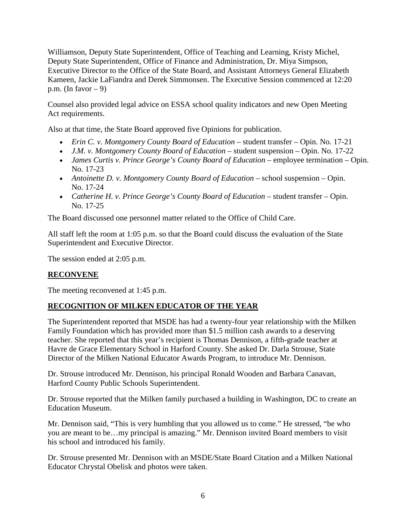Williamson, Deputy State Superintendent, Office of Teaching and Learning, Kristy Michel, Deputy State Superintendent, Office of Finance and Administration, Dr. Miya Simpson, Executive Director to the Office of the State Board, and Assistant Attorneys General Elizabeth Kameen, Jackie LaFiandra and Derek Simmonsen. The Executive Session commenced at 12:20 p.m. (In favor  $-9$ )

Counsel also provided legal advice on ESSA school quality indicators and new Open Meeting Act requirements.

Also at that time, the State Board approved five Opinions for publication.

- *Erin C. v. Montgomery County Board of Education –* student transfer Opin. No. 17-21
- *J.M. v. Montgomery County Board of Education –* student suspension Opin. No. 17-22
- *James Curtis v. Prince George's County Board of Education –* employee termination Opin. No. 17-23
- *Antoinette D. v. Montgomery County Board of Education* school suspension Opin. No. 17-24
- *Catherine H. v. Prince George's County Board of Education –* student transfer Opin. No. 17-25

The Board discussed one personnel matter related to the Office of Child Care.

All staff left the room at 1:05 p.m. so that the Board could discuss the evaluation of the State Superintendent and Executive Director.

The session ended at 2:05 p.m.

### **RECONVENE**

The meeting reconvened at 1:45 p.m.

### **RECOGNITION OF MILKEN EDUCATOR OF THE YEAR**

The Superintendent reported that MSDE has had a twenty-four year relationship with the Milken Family Foundation which has provided more than \$1.5 million cash awards to a deserving teacher. She reported that this year's recipient is Thomas Dennison, a fifth-grade teacher at Havre de Grace Elementary School in Harford County. She asked Dr. Darla Strouse, State Director of the Milken National Educator Awards Program, to introduce Mr. Dennison.

Dr. Strouse introduced Mr. Dennison, his principal Ronald Wooden and Barbara Canavan, Harford County Public Schools Superintendent.

Dr. Strouse reported that the Milken family purchased a building in Washington, DC to create an Education Museum.

Mr. Dennison said, "This is very humbling that you allowed us to come." He stressed, "be who you are meant to be…my principal is amazing." Mr. Dennison invited Board members to visit his school and introduced his family.

Dr. Strouse presented Mr. Dennison with an MSDE/State Board Citation and a Milken National Educator Chrystal Obelisk and photos were taken.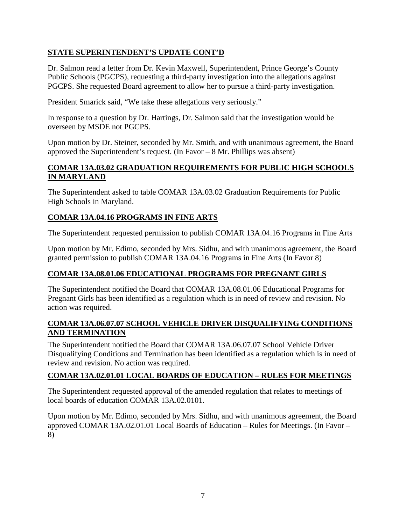### **STATE SUPERINTENDENT'S UPDATE CONT'D**

Dr. Salmon read a letter from Dr. Kevin Maxwell, Superintendent, Prince George's County Public Schools (PGCPS), requesting a third-party investigation into the allegations against PGCPS. She requested Board agreement to allow her to pursue a third-party investigation.

President Smarick said, "We take these allegations very seriously."

In response to a question by Dr. Hartings, Dr. Salmon said that the investigation would be overseen by MSDE not PGCPS.

Upon motion by Dr. Steiner, seconded by Mr. Smith, and with unanimous agreement, the Board approved the Superintendent's request. (In Favor – 8 Mr. Phillips was absent)

### **COMAR 13A.03.02 GRADUATION REQUIREMENTS FOR PUBLIC HIGH SCHOOLS IN MARYLAND**

The Superintendent asked to table COMAR 13A.03.02 Graduation Requirements for Public High Schools in Maryland.

### **COMAR 13A.04.16 PROGRAMS IN FINE ARTS**

The Superintendent requested permission to publish COMAR 13A.04.16 Programs in Fine Arts

Upon motion by Mr. Edimo, seconded by Mrs. Sidhu, and with unanimous agreement, the Board granted permission to publish COMAR 13A.04.16 Programs in Fine Arts (In Favor 8)

## **COMAR 13A.08.01.06 EDUCATIONAL PROGRAMS FOR PREGNANT GIRLS**

The Superintendent notified the Board that COMAR 13A.08.01.06 Educational Programs for Pregnant Girls has been identified as a regulation which is in need of review and revision. No action was required.

### **COMAR 13A.06.07.07 SCHOOL VEHICLE DRIVER DISQUALIFYING CONDITIONS AND TERMINATION**

The Superintendent notified the Board that COMAR 13A.06.07.07 School Vehicle Driver Disqualifying Conditions and Termination has been identified as a regulation which is in need of review and revision. No action was required.

### **COMAR 13A.02.01.01 LOCAL BOARDS OF EDUCATION – RULES FOR MEETINGS**

The Superintendent requested approval of the amended regulation that relates to meetings of local boards of education COMAR 13A.02.0101.

Upon motion by Mr. Edimo, seconded by Mrs. Sidhu, and with unanimous agreement, the Board approved COMAR 13A.02.01.01 Local Boards of Education – Rules for Meetings. (In Favor – 8)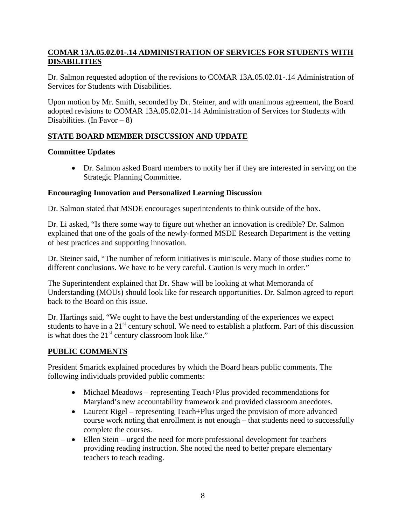### **COMAR 13A.05.02.01-.14 ADMINISTRATION OF SERVICES FOR STUDENTS WITH DISABILITIES**

Dr. Salmon requested adoption of the revisions to COMAR 13A.05.02.01-.14 Administration of Services for Students with Disabilities.

Upon motion by Mr. Smith, seconded by Dr. Steiner, and with unanimous agreement, the Board adopted revisions to COMAR 13A.05.02.01-.14 Administration of Services for Students with Disabilities. (In Favor –  $8$ )

# **STATE BOARD MEMBER DISCUSSION AND UPDATE**

# **Committee Updates**

• Dr. Salmon asked Board members to notify her if they are interested in serving on the Strategic Planning Committee.

# **Encouraging Innovation and Personalized Learning Discussion**

Dr. Salmon stated that MSDE encourages superintendents to think outside of the box.

Dr. Li asked, "Is there some way to figure out whether an innovation is credible? Dr. Salmon explained that one of the goals of the newly-formed MSDE Research Department is the vetting of best practices and supporting innovation.

Dr. Steiner said, "The number of reform initiatives is miniscule. Many of those studies come to different conclusions. We have to be very careful. Caution is very much in order."

The Superintendent explained that Dr. Shaw will be looking at what Memoranda of Understanding (MOUs) should look like for research opportunities. Dr. Salmon agreed to report back to the Board on this issue.

Dr. Hartings said, "We ought to have the best understanding of the experiences we expect students to have in a 21<sup>st</sup> century school. We need to establish a platform. Part of this discussion is what does the  $21<sup>st</sup>$  century classroom look like."

# **PUBLIC COMMENTS**

President Smarick explained procedures by which the Board hears public comments. The following individuals provided public comments:

- Michael Meadows representing Teach+Plus provided recommendations for Maryland's new accountability framework and provided classroom anecdotes.
- Laurent Rigel representing Teach+Plus urged the provision of more advanced course work noting that enrollment is not enough – that students need to successfully complete the courses.
- Ellen Stein urged the need for more professional development for teachers providing reading instruction. She noted the need to better prepare elementary teachers to teach reading.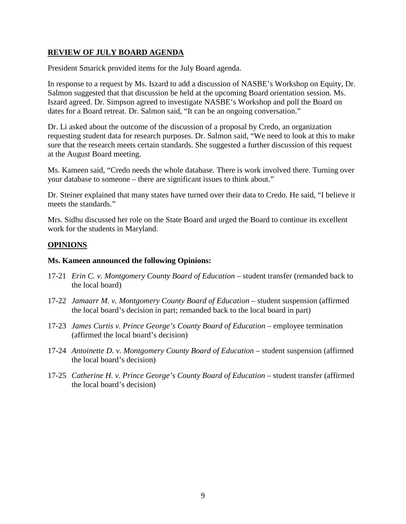### **REVIEW OF JULY BOARD AGENDA**

President Smarick provided items for the July Board agenda.

In response to a request by Ms. Iszard to add a discussion of NASBE's Workshop on Equity, Dr. Salmon suggested that that discussion be held at the upcoming Board orientation session. Ms. Iszard agreed. Dr. Simpson agreed to investigate NASBE's Workshop and poll the Board on dates for a Board retreat. Dr. Salmon said, "It can be an ongoing conversation."

Dr. Li asked about the outcome of the discussion of a proposal by Credo, an organization requesting student data for research purposes. Dr. Salmon said, "We need to look at this to make sure that the research meets certain standards. She suggested a further discussion of this request at the August Board meeting.

Ms. Kameen said, "Credo needs the whole database. There is work involved there. Turning over your database to someone – there are significant issues to think about."

Dr. Steiner explained that many states have turned over their data to Credo. He said, "I believe it meets the standards."

Mrs. Sidhu discussed her role on the State Board and urged the Board to continue its excellent work for the students in Maryland.

#### **OPINIONS**

#### **Ms. Kameen announced the following Opinions:**

- 17-21 *Erin C. v. Montgomery County Board of Education –* student transfer (remanded back to the local board)
- 17-22 *Jamaarr M. v. Montgomery County Board of Education –* student suspension (affirmed the local board's decision in part; remanded back to the local board in part)
- 17-23 *James Curtis v. Prince George's County Board of Education* employee termination (affirmed the local board's decision)
- 17-24 *Antoinette D. v. Montgomery County Board of Education –* student suspension (affirmed the local board's decision)
- 17-25 *Catherine H. v. Prince George's County Board of Education –* student transfer (affirmed the local board's decision)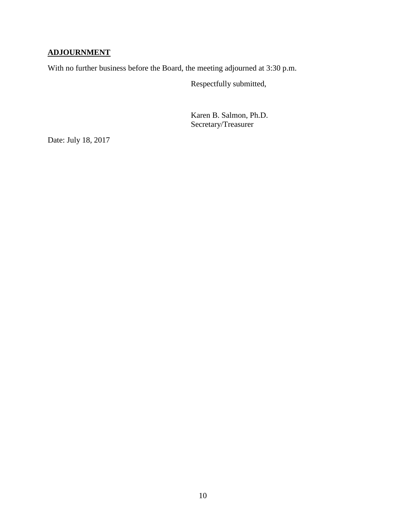# **ADJOURNMENT**

With no further business before the Board, the meeting adjourned at 3:30 p.m.

Respectfully submitted,

Karen B. Salmon, Ph.D. Secretary/Treasurer

Date: July 18, 2017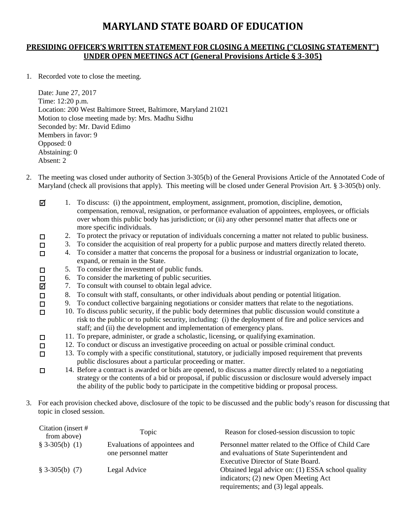# **MARYLAND STATE BOARD OF EDUCATION**

### **PRESIDING OFFICER'S WRITTEN STATEMENT FOR CLOSING A MEETING ("CLOSING STATEMENT") UNDER OPEN MEETINGS ACT (General Provisions Article § 3-305)**

1. Recorded vote to close the meeting.

 $\Box$  $\Box$ 

 $\Box$  $\Box$ 

Date: June 27, 2017 Time: 12:20 p.m. Location: 200 West Baltimore Street, Baltimore, Maryland 21021 Motion to close meeting made by: Mrs. Madhu Sidhu Seconded by: Mr. David Edimo Members in favor: 9 Opposed: 0 Abstaining: 0 Absent: 2

- 2. The meeting was closed under authority of Section 3-305(b) of the General Provisions Article of the Annotated Code of Maryland (check all provisions that apply). This meeting will be closed under General Provision Art. § 3-305(b) only.
	- ☑ 1. To discuss: (i) the appointment, employment, assignment, promotion, discipline, demotion, compensation, removal, resignation, or performance evaluation of appointees, employees, or officials over whom this public body has jurisdiction; or (ii) any other personnel matter that affects one or more specific individuals.
	- $\Box$ 2. To protect the privacy or reputation of individuals concerning a matter not related to public business.
	- 3. To consider the acquisition of real property for a public purpose and matters directly related thereto.  $\Box$
	- 4. To consider a matter that concerns the proposal for a business or industrial organization to locate,  $\Box$ expand, or remain in the State.
	- 5. To consider the investment of public funds.  $\Box$
	- 6. To consider the marketing of public securities.  $\Box$
	- ☑ 7. To consult with counsel to obtain legal advice.
	- 8. To consult with staff, consultants, or other individuals about pending or potential litigation.  $\Box$ 
		- 9. To conduct collective bargaining negotiations or consider matters that relate to the negotiations.
		- 10. To discuss public security, if the public body determines that public discussion would constitute a risk to the public or to public security, including: (i) the deployment of fire and police services and staff; and (ii) the development and implementation of emergency plans.
		- 11. To prepare, administer, or grade a scholastic, licensing, or qualifying examination.
		- 12. To conduct or discuss an investigative proceeding on actual or possible criminal conduct.
	- 13. To comply with a specific constitutional, statutory, or judicially imposed requirement that prevents  $\Box$ public disclosures about a particular proceeding or matter.
	- 14. Before a contract is awarded or bids are opened, to discuss a matter directly related to a negotiating  $\Box$ strategy or the contents of a bid or proposal, if public discussion or disclosure would adversely impact the ability of the public body to participate in the competitive bidding or proposal process.
- 3. For each provision checked above, disclosure of the topic to be discussed and the public body's reason for discussing that topic in closed session.

| Citation (insert #<br>from above) | Topic                                                 | Reason for closed-session discussion to topic                                                       |
|-----------------------------------|-------------------------------------------------------|-----------------------------------------------------------------------------------------------------|
| $$3-305(b) (1)$                   | Evaluations of appointees and<br>one personnel matter | Personnel matter related to the Office of Child Care<br>and evaluations of State Superintendent and |
|                                   |                                                       | <b>Executive Director of State Board.</b>                                                           |
| $$3-305(b) (7)$                   | Legal Advice                                          | Obtained legal advice on: (1) ESSA school quality<br>indicators; (2) new Open Meeting Act           |
|                                   |                                                       | requirements; and (3) legal appeals.                                                                |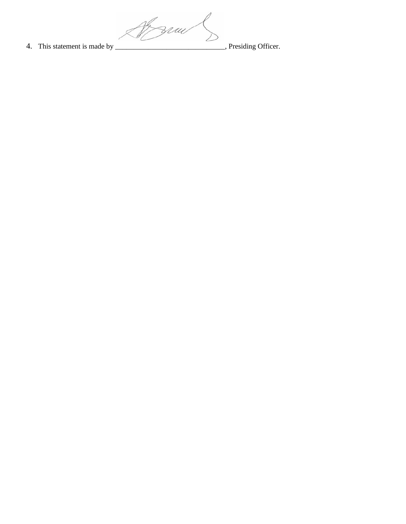Af zrau 4. This statement is made by \_\_\_\_\_\_\_\_\_\_\_\_\_\_\_\_\_\_\_\_\_\_\_\_\_\_\_\_, Presiding Officer.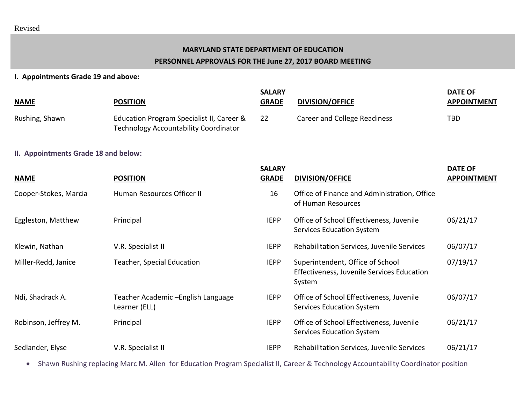# **MARYLAND STATE DEPARTMENT OF EDUCATION PERSONNEL APPROVALS FOR THE June 27, 2017 BOARD MEETING**

### **I. Appointments Grade 19 and above:**

| <b>NAME</b>                          | <b>POSITION</b>                                                                           | <b>SALARY</b><br><b>GRADE</b> | <b>DIVISION/OFFICE</b>                                                                   | <b>DATE OF</b><br><b>APPOINTMENT</b> |
|--------------------------------------|-------------------------------------------------------------------------------------------|-------------------------------|------------------------------------------------------------------------------------------|--------------------------------------|
| Rushing, Shawn                       | Education Program Specialist II, Career &<br><b>Technology Accountability Coordinator</b> | 22                            | <b>Career and College Readiness</b>                                                      | TBD                                  |
| II. Appointments Grade 18 and below: |                                                                                           |                               |                                                                                          |                                      |
| <b>NAME</b>                          | <b>POSITION</b>                                                                           | <b>SALARY</b><br><b>GRADE</b> | <b>DIVISION/OFFICE</b>                                                                   | <b>DATE OF</b><br><b>APPOINTMENT</b> |
| Cooper-Stokes, Marcia                | Human Resources Officer II                                                                | 16                            | Office of Finance and Administration, Office<br>of Human Resources                       |                                      |
| Eggleston, Matthew                   | Principal                                                                                 | <b>IEPP</b>                   | Office of School Effectiveness, Juvenile<br><b>Services Education System</b>             | 06/21/17                             |
| Klewin, Nathan                       | V.R. Specialist II                                                                        | <b>IEPP</b>                   | Rehabilitation Services, Juvenile Services                                               | 06/07/17                             |
| Miller-Redd, Janice                  | <b>Teacher, Special Education</b>                                                         | <b>IEPP</b>                   | Superintendent, Office of School<br>Effectiveness, Juvenile Services Education<br>System | 07/19/17                             |
| Ndi, Shadrack A.                     | Teacher Academic - English Language<br>Learner (ELL)                                      | <b>IEPP</b>                   | Office of School Effectiveness, Juvenile<br><b>Services Education System</b>             | 06/07/17                             |
| Robinson, Jeffrey M.                 | Principal                                                                                 | <b>IEPP</b>                   | Office of School Effectiveness, Juvenile<br><b>Services Education System</b>             | 06/21/17                             |
| Sedlander, Elyse                     | V.R. Specialist II                                                                        | <b>IEPP</b>                   | Rehabilitation Services, Juvenile Services                                               | 06/21/17                             |

• Shawn Rushing replacing Marc M. Allen for Education Program Specialist II, Career & Technology Accountability Coordinator position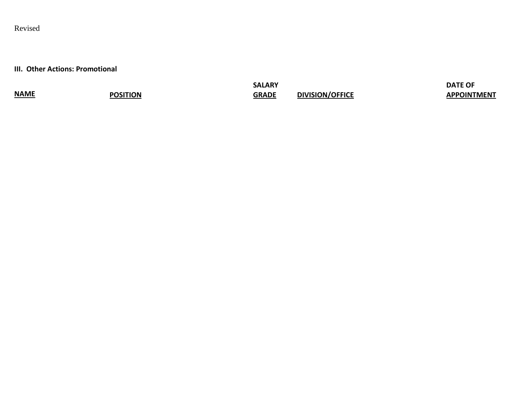# Revised

**III. Other Actions: Promotional** 

**NAME POSITION**

**SALARY GRADE DIVISION/OFFICE** **DATE OF APPOINTMENT**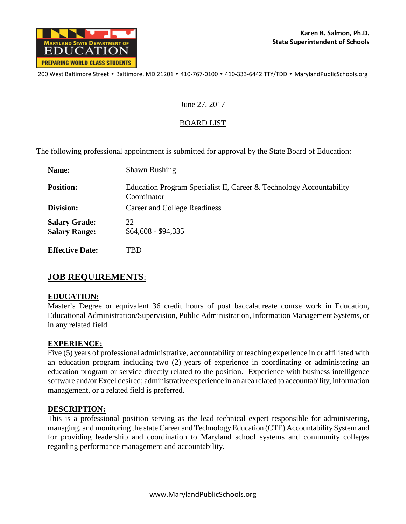

200 West Baltimore Street • Baltimore, MD 21201 • 410-767-0100 • 410-333-6442 TTY/TDD • MarylandPublicSchools.org

### June 27, 2017

### BOARD LIST

The following professional appointment is submitted for approval by the State Board of Education:

| Name:                                        | <b>Shawn Rushing</b>                                                               |  |
|----------------------------------------------|------------------------------------------------------------------------------------|--|
| <b>Position:</b>                             | Education Program Specialist II, Career & Technology Accountability<br>Coordinator |  |
| Division:                                    | Career and College Readiness                                                       |  |
| <b>Salary Grade:</b><br><b>Salary Range:</b> | 22<br>$$64,608 - $94,335$                                                          |  |
| <b>Effective Date:</b>                       | TBD                                                                                |  |

## **JOB REQUIREMENTS**:

### **EDUCATION:**

Master's Degree or equivalent 36 credit hours of post baccalaureate course work in Education, Educational Administration/Supervision, Public Administration, Information Management Systems, or in any related field.

### **EXPERIENCE:**

Five (5) years of professional administrative, accountability or teaching experience in or affiliated with an education program including two (2) years of experience in coordinating or administering an education program or service directly related to the position. Experience with business intelligence software and/or Excel desired; administrative experience in an area related to accountability, information management, or a related field is preferred.

### **DESCRIPTION:**

This is a professional position serving as the lead technical expert responsible for administering, managing, and monitoring the state Career and Technology Education (CTE) Accountability System and for providing leadership and coordination to Maryland school systems and community colleges regarding performance management and accountability.